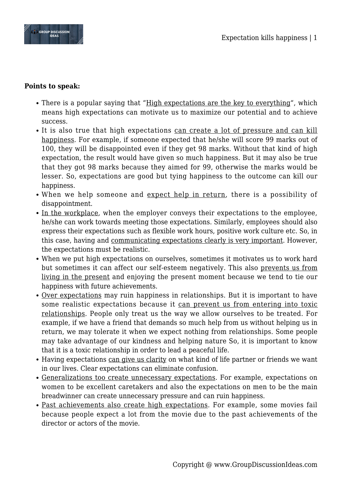

## **Points to speak:**

- There is a popular saying that "High expectations are the key to everything", which means high expectations can motivate us to maximize our potential and to achieve success.
- It is also true that high expectations can create a lot of pressure and can kill happiness. For example, if someone expected that he/she will score 99 marks out of 100, they will be disappointed even if they get 98 marks. Without that kind of high expectation, the result would have given so much happiness. But it may also be true that they got 98 marks because they aimed for 99, otherwise the marks would be lesser. So, expectations are good but tying happiness to the outcome can kill our happiness.
- When we help someone and expect help in return, there is a possibility of disappointment.
- In the workplace, when the employer conveys their expectations to the employee, he/she can work towards meeting those expectations. Similarly, employees should also express their expectations such as flexible work hours, positive work culture etc. So, in this case, having and communicating expectations clearly is very important. However, the expectations must be realistic.
- When we put high expectations on ourselves, sometimes it motivates us to work hard but sometimes it can affect our self-esteem negatively. This also prevents us from living in the present and enjoying the present moment because we tend to tie our happiness with future achievements.
- Over expectations may ruin happiness in relationships. But it is important to have some realistic expectations because it can prevent us from entering into toxic relationships. People only treat us the way we allow ourselves to be treated. For example, if we have a friend that demands so much help from us without helping us in return, we may tolerate it when we expect nothing from relationships. Some people may take advantage of our kindness and helping nature So, it is important to know that it is a toxic relationship in order to lead a peaceful life.
- Having expectations can give us clarity on what kind of life partner or friends we want in our lives. Clear expectations can eliminate confusion.
- Generalizations too create unnecessary expectations. For example, expectations on women to be excellent caretakers and also the expectations on men to be the main breadwinner can create unnecessary pressure and can ruin happiness.
- Past achievements also create high expectations. For example, some movies fail because people expect a lot from the movie due to the past achievements of the director or actors of the movie.